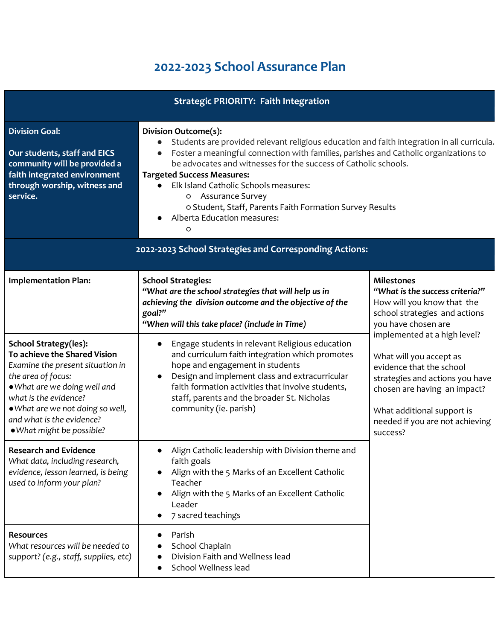## **2022-2023 School Assurance Plan**

| <b>Strategic PRIORITY: Faith Integration</b>                                                                                                                                                                                                                                  |                                                                                                                                                                                                                                                                                                                                                                                                                                                                                                                   |                                                                                                                                                                                                                                     |
|-------------------------------------------------------------------------------------------------------------------------------------------------------------------------------------------------------------------------------------------------------------------------------|-------------------------------------------------------------------------------------------------------------------------------------------------------------------------------------------------------------------------------------------------------------------------------------------------------------------------------------------------------------------------------------------------------------------------------------------------------------------------------------------------------------------|-------------------------------------------------------------------------------------------------------------------------------------------------------------------------------------------------------------------------------------|
| <b>Division Goal:</b><br>Our students, staff and EICS<br>community will be provided a<br>faith integrated environment<br>through worship, witness and<br>service.                                                                                                             | Division Outcome(s):<br>Students are provided relevant religious education and faith integration in all curricula.<br>$\bullet$<br>Foster a meaningful connection with families, parishes and Catholic organizations to<br>$\bullet$<br>be advocates and witnesses for the success of Catholic schools.<br><b>Targeted Success Measures:</b><br>Elk Island Catholic Schools measures:<br>o Assurance Survey<br>o Student, Staff, Parents Faith Formation Survey Results<br>Alberta Education measures:<br>$\circ$ |                                                                                                                                                                                                                                     |
| 2022-2023 School Strategies and Corresponding Actions:                                                                                                                                                                                                                        |                                                                                                                                                                                                                                                                                                                                                                                                                                                                                                                   |                                                                                                                                                                                                                                     |
| <b>Implementation Plan:</b>                                                                                                                                                                                                                                                   | <b>School Strategies:</b><br>"What are the school strategies that will help us in<br>achieving the division outcome and the objective of the<br>goal?"<br>"When will this take place? (include in Time)                                                                                                                                                                                                                                                                                                           | <b>Milestones</b><br>"What is the success criteria?"<br>How will you know that the<br>school strategies and actions<br>you have chosen are                                                                                          |
| <b>School Strategy(ies):</b><br>To achieve the Shared Vision<br>Examine the present situation in<br>the area of focus:<br>• What are we doing well and<br>what is the evidence?<br>. What are we not doing so well,<br>and what is the evidence?<br>. What might be possible? | Engage students in relevant Religious education<br>$\bullet$<br>and curriculum faith integration which promotes<br>hope and engagement in students<br>Design and implement class and extracurricular<br>$\bullet$<br>faith formation activities that involve students,<br>staff, parents and the broader St. Nicholas<br>community (ie. parish)                                                                                                                                                                   | implemented at a high level?<br>What will you accept as<br>evidence that the school<br>strategies and actions you have<br>chosen are having an impact?<br>What additional support is<br>needed if you are not achieving<br>success? |
| <b>Research and Evidence</b><br>What data, including research,<br>evidence, lesson learned, is being<br>used to inform your plan?                                                                                                                                             | Align Catholic leadership with Division theme and<br>faith goals<br>Align with the 5 Marks of an Excellent Catholic<br>Teacher<br>Align with the 5 Marks of an Excellent Catholic<br>Leader<br>7 sacred teachings                                                                                                                                                                                                                                                                                                 |                                                                                                                                                                                                                                     |
| <b>Resources</b><br>What resources will be needed to<br>support? (e.g., staff, supplies, etc)                                                                                                                                                                                 | Parish<br>School Chaplain<br>Division Faith and Wellness lead<br>School Wellness lead                                                                                                                                                                                                                                                                                                                                                                                                                             |                                                                                                                                                                                                                                     |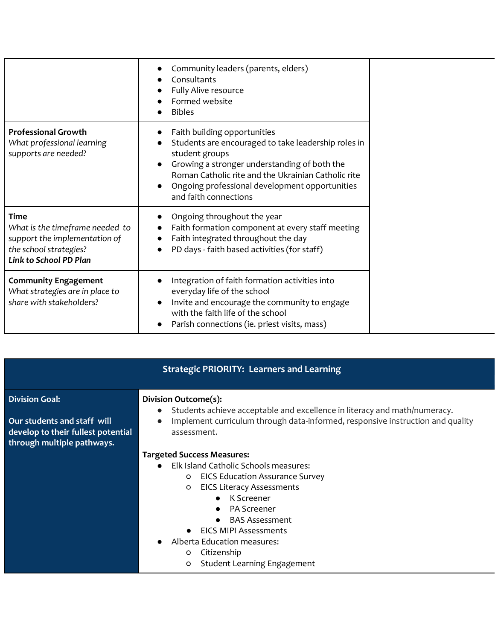|                                                                                                                              | Community leaders (parents, elders)<br>Consultants<br>Fully Alive resource<br>Formed website<br><b>Bibles</b>                                                                                                                                                                                                     |
|------------------------------------------------------------------------------------------------------------------------------|-------------------------------------------------------------------------------------------------------------------------------------------------------------------------------------------------------------------------------------------------------------------------------------------------------------------|
| <b>Professional Growth</b><br>What professional learning<br>supports are needed?                                             | Faith building opportunities<br>Students are encouraged to take leadership roles in<br>student groups<br>Growing a stronger understanding of both the<br>$\bullet$<br>Roman Catholic rite and the Ukrainian Catholic rite<br>Ongoing professional development opportunities<br>$\bullet$<br>and faith connections |
| Time<br>What is the timeframe needed to<br>support the implementation of<br>the school strategies?<br>Link to School PD Plan | Ongoing throughout the year<br>Faith formation component at every staff meeting<br>$\bullet$<br>Faith integrated throughout the day<br>$\bullet$<br>PD days - faith based activities (for staff)<br>$\bullet$                                                                                                     |
| <b>Community Engagement</b><br>What strategies are in place to<br>share with stakeholders?                                   | Integration of faith formation activities into<br>$\bullet$<br>everyday life of the school<br>Invite and encourage the community to engage<br>$\bullet$<br>with the faith life of the school<br>Parish connections (ie. priest visits, mass)<br>$\bullet$                                                         |

| <b>Strategic PRIORITY: Learners and Learning</b>                                                                         |                                                                                                                                                                                                                                                                                                                                                                                                                                    |  |
|--------------------------------------------------------------------------------------------------------------------------|------------------------------------------------------------------------------------------------------------------------------------------------------------------------------------------------------------------------------------------------------------------------------------------------------------------------------------------------------------------------------------------------------------------------------------|--|
| <b>Division Goal:</b><br>Our students and staff will<br>develop to their fullest potential<br>through multiple pathways. | Division Outcome(s):<br>Students achieve acceptable and excellence in literacy and math/numeracy.<br>$\bullet$<br>Implement curriculum through data-informed, responsive instruction and quality<br>$\bullet$<br>assessment.                                                                                                                                                                                                       |  |
|                                                                                                                          | <b>Targeted Success Measures:</b><br>Elk Island Catholic Schools measures:<br>$\bullet$<br><b>EICS Education Assurance Survey</b><br>$\circ$<br><b>EICS Literacy Assessments</b><br>$\circ$<br>K Screener<br>$\bullet$<br><b>PA Screener</b><br>$\bullet$<br><b>BAS Assessment</b><br>$\bullet$<br>EICS MIPI Assessments<br>Alberta Education measures:<br>Citizenship<br>$\circ$<br><b>Student Learning Engagement</b><br>$\circ$ |  |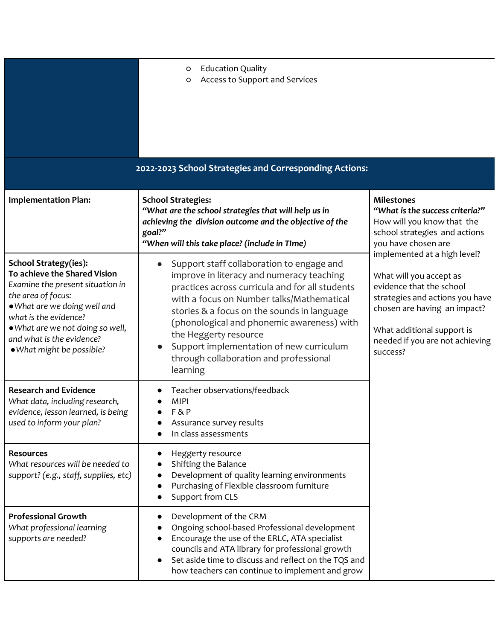|                                                                                                                                                                                                                                                                        | <b>Education Quality</b><br>$\circ$<br>Access to Support and Services<br>O                                                                                                                                                                                                                                                                                                                                                                                      |                                                                                                                                                                                                                                                            |
|------------------------------------------------------------------------------------------------------------------------------------------------------------------------------------------------------------------------------------------------------------------------|-----------------------------------------------------------------------------------------------------------------------------------------------------------------------------------------------------------------------------------------------------------------------------------------------------------------------------------------------------------------------------------------------------------------------------------------------------------------|------------------------------------------------------------------------------------------------------------------------------------------------------------------------------------------------------------------------------------------------------------|
| <b>Implementation Plan:</b>                                                                                                                                                                                                                                            | 2022-2023 School Strategies and Corresponding Actions:<br><b>School Strategies:</b><br>"What are the school strategies that will help us in<br>achieving the division outcome and the objective of the<br>goal?"                                                                                                                                                                                                                                                | <b>Milestones</b><br>"What is the success criteria?"<br>How will you know that the<br>school strategies and actions                                                                                                                                        |
| School Strategy(ies):<br>To achieve the Shared Vision<br>Examine the present situation in<br>the area of focus:<br>. What are we doing well and<br>what is the evidence?<br>. What are we not doing so well,<br>and what is the evidence?<br>. What might be possible? | "When will this take place? (include in TIme)<br>Support staff collaboration to engage and<br>improve in literacy and numeracy teaching<br>practices across curricula and for all students<br>with a focus on Number talks/Mathematical<br>stories & a focus on the sounds in language<br>(phonological and phonemic awareness) with<br>the Heggerty resource<br>Support implementation of new curriculum<br>through collaboration and professional<br>learning | you have chosen are<br>implemented at a high level?<br>What will you accept as<br>evidence that the school<br>strategies and actions you have<br>chosen are having an impact?<br>What additional support is<br>needed if you are not achieving<br>success? |
| <b>Research and Evidence</b><br>What data, including research,<br>evidence, lesson learned, is being<br>used to inform your plan?                                                                                                                                      | Teacher observations/feedback<br>MIPI<br>F&P<br>Assurance survey results<br>In class assessments                                                                                                                                                                                                                                                                                                                                                                |                                                                                                                                                                                                                                                            |
| <b>Resources</b><br>What resources will be needed to<br>support? (e.g., staff, supplies, etc)                                                                                                                                                                          | Heggerty resource<br>Shifting the Balance<br>Development of quality learning environments<br>Purchasing of Flexible classroom furniture<br>$\bullet$<br>Support from CLS                                                                                                                                                                                                                                                                                        |                                                                                                                                                                                                                                                            |
| <b>Professional Growth</b><br>What professional learning<br>supports are needed?                                                                                                                                                                                       | Development of the CRM<br>Ongoing school-based Professional development<br>Encourage the use of the ERLC, ATA specialist<br>councils and ATA library for professional growth<br>Set aside time to discuss and reflect on the TQS and<br>how teachers can continue to implement and grow                                                                                                                                                                         |                                                                                                                                                                                                                                                            |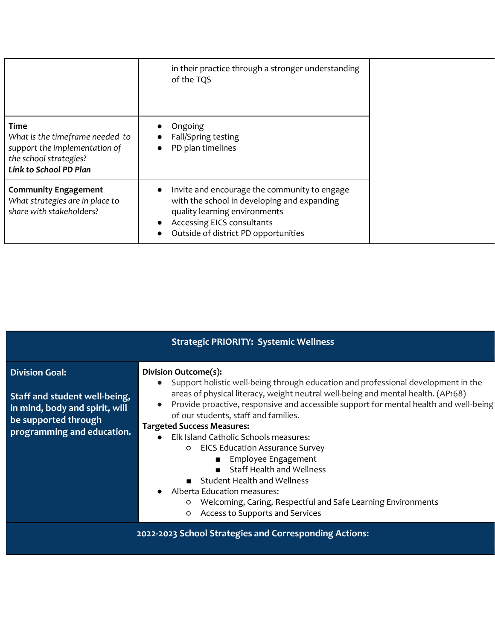|                                                                                                                                     | in their practice through a stronger understanding<br>of the TQS                                                                                                                                   |  |
|-------------------------------------------------------------------------------------------------------------------------------------|----------------------------------------------------------------------------------------------------------------------------------------------------------------------------------------------------|--|
| <b>Time</b><br>What is the timeframe needed to<br>support the implementation of<br>the school strategies?<br>Link to School PD Plan | Ongoing<br>Fall/Spring testing<br>PD plan timelines<br>$\bullet$                                                                                                                                   |  |
| <b>Community Engagement</b><br>What strategies are in place to<br>share with stakeholders?                                          | Invite and encourage the community to engage<br>with the school in developing and expanding<br>quality learning environments<br>Accessing EICS consultants<br>Outside of district PD opportunities |  |

|                                                                                                                                                | <b>Strategic PRIORITY: Systemic Wellness</b>                                                                                                                                                                                                                                                                                                                                                                                                                                                                                                                                                                                                                                                                      |
|------------------------------------------------------------------------------------------------------------------------------------------------|-------------------------------------------------------------------------------------------------------------------------------------------------------------------------------------------------------------------------------------------------------------------------------------------------------------------------------------------------------------------------------------------------------------------------------------------------------------------------------------------------------------------------------------------------------------------------------------------------------------------------------------------------------------------------------------------------------------------|
| <b>Division Goal:</b><br>Staff and student well-being,<br>in mind, body and spirit, will<br>be supported through<br>programming and education. | Division Outcome(s):<br>• Support holistic well-being through education and professional development in the<br>areas of physical literacy, weight neutral well-being and mental health. (AP168)<br>Provide proactive, responsive and accessible support for mental health and well-being<br>of our students, staff and families.<br><b>Targeted Success Measures:</b><br>• Elk Island Catholic Schools measures:<br><b>O</b> EICS Education Assurance Survey<br><b>Employee Engagement</b><br><b>Staff Health and Wellness</b><br>Student Health and Wellness<br>• Alberta Education measures:<br>Welcoming, Caring, Respectful and Safe Learning Environments<br>$\circ$<br>Access to Supports and Services<br>O |
|                                                                                                                                                | 2022-2023 School Strategies and Corresponding Actions:                                                                                                                                                                                                                                                                                                                                                                                                                                                                                                                                                                                                                                                            |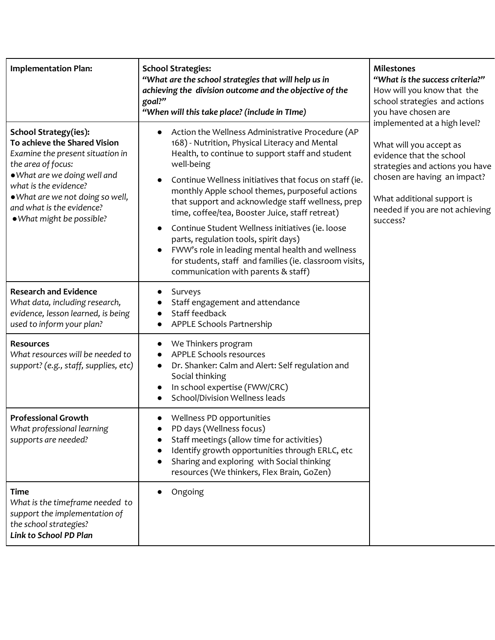| <b>Implementation Plan:</b>                                                                                                                                                                                                                                                   | <b>School Strategies:</b><br>"What are the school strategies that will help us in<br>achieving the division outcome and the objective of the<br>goal?"<br>"When will this take place? (include in TIme)                                                                                                                                                                                                                                                                                                                                                                                                                                                                | <b>Milestones</b><br>"What is the success criteria?"<br>How will you know that the<br>school strategies and actions<br>you have chosen are                                                                                          |
|-------------------------------------------------------------------------------------------------------------------------------------------------------------------------------------------------------------------------------------------------------------------------------|------------------------------------------------------------------------------------------------------------------------------------------------------------------------------------------------------------------------------------------------------------------------------------------------------------------------------------------------------------------------------------------------------------------------------------------------------------------------------------------------------------------------------------------------------------------------------------------------------------------------------------------------------------------------|-------------------------------------------------------------------------------------------------------------------------------------------------------------------------------------------------------------------------------------|
| <b>School Strategy(ies):</b><br>To achieve the Shared Vision<br>Examine the present situation in<br>the area of focus:<br>• What are we doing well and<br>what is the evidence?<br>• What are we not doing so well,<br>and what is the evidence?<br>. What might be possible? | Action the Wellness Administrative Procedure (AP<br>$\bullet$<br>168) - Nutrition, Physical Literacy and Mental<br>Health, to continue to support staff and student<br>well-being<br>Continue Wellness initiatives that focus on staff (ie.<br>monthly Apple school themes, purposeful actions<br>that support and acknowledge staff wellness, prep<br>time, coffee/tea, Booster Juice, staff retreat)<br>Continue Student Wellness initiatives (ie. loose<br>$\bullet$<br>parts, regulation tools, spirit days)<br>FWW's role in leading mental health and wellness<br>for students, staff and families (ie. classroom visits,<br>communication with parents & staff) | implemented at a high level?<br>What will you accept as<br>evidence that the school<br>strategies and actions you have<br>chosen are having an impact?<br>What additional support is<br>needed if you are not achieving<br>success? |
| <b>Research and Evidence</b><br>What data, including research,<br>evidence, lesson learned, is being<br>used to inform your plan?                                                                                                                                             | Surveys<br>Staff engagement and attendance<br>Staff feedback<br>APPLE Schools Partnership                                                                                                                                                                                                                                                                                                                                                                                                                                                                                                                                                                              |                                                                                                                                                                                                                                     |
| <b>Resources</b><br>What resources will be needed to<br>support? (e.g., staff, supplies, etc)                                                                                                                                                                                 | We Thinkers program<br>$\bullet$<br><b>APPLE Schools resources</b><br>Dr. Shanker: Calm and Alert: Self regulation and<br>$\bullet$<br>Social thinking<br>In school expertise (FWW/CRC)<br>School/Division Wellness leads                                                                                                                                                                                                                                                                                                                                                                                                                                              |                                                                                                                                                                                                                                     |
| <b>Professional Growth</b><br>What professional learning<br>supports are needed?                                                                                                                                                                                              | Wellness PD opportunities<br>PD days (Wellness focus)<br>$\bullet$<br>Staff meetings (allow time for activities)<br>Identify growth opportunities through ERLC, etc<br>Sharing and exploring with Social thinking<br>resources (We thinkers, Flex Brain, GoZen)                                                                                                                                                                                                                                                                                                                                                                                                        |                                                                                                                                                                                                                                     |
| <b>Time</b><br>What is the timeframe needed to<br>support the implementation of<br>the school strategies?<br>Link to School PD Plan                                                                                                                                           | Ongoing                                                                                                                                                                                                                                                                                                                                                                                                                                                                                                                                                                                                                                                                |                                                                                                                                                                                                                                     |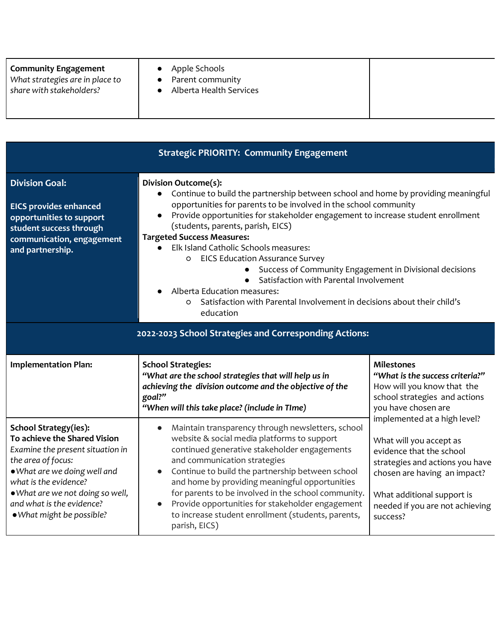| share with stakeholders?<br>Alberta Health Services |
|-----------------------------------------------------|
|-----------------------------------------------------|

|                                                                                                                                                                                                                                                                               | <b>Strategic PRIORITY: Community Engagement</b>                                                                                                                                                                                                                                                                                                                                                                                                                                                                                                                                                                                                                                                     |                                                                                                                                                                                                                                     |  |
|-------------------------------------------------------------------------------------------------------------------------------------------------------------------------------------------------------------------------------------------------------------------------------|-----------------------------------------------------------------------------------------------------------------------------------------------------------------------------------------------------------------------------------------------------------------------------------------------------------------------------------------------------------------------------------------------------------------------------------------------------------------------------------------------------------------------------------------------------------------------------------------------------------------------------------------------------------------------------------------------------|-------------------------------------------------------------------------------------------------------------------------------------------------------------------------------------------------------------------------------------|--|
| <b>Division Goal:</b><br><b>EICS provides enhanced</b><br>opportunities to support<br>student success through<br>communication, engagement<br>and partnership.                                                                                                                | Division Outcome(s):<br>Continue to build the partnership between school and home by providing meaningful<br>$\bullet$<br>opportunities for parents to be involved in the school community<br>Provide opportunities for stakeholder engagement to increase student enrollment<br>$\bullet$<br>(students, parents, parish, EICS)<br><b>Targeted Success Measures:</b><br>Elk Island Catholic Schools measures:<br><b>EICS Education Assurance Survey</b><br>O<br>Success of Community Engagement in Divisional decisions<br>Satisfaction with Parental Involvement<br>Alberta Education measures:<br>Satisfaction with Parental Involvement in decisions about their child's<br>$\circ$<br>education |                                                                                                                                                                                                                                     |  |
| 2022-2023 School Strategies and Corresponding Actions:                                                                                                                                                                                                                        |                                                                                                                                                                                                                                                                                                                                                                                                                                                                                                                                                                                                                                                                                                     |                                                                                                                                                                                                                                     |  |
| <b>Implementation Plan:</b>                                                                                                                                                                                                                                                   | <b>School Strategies:</b><br>"What are the school strategies that will help us in<br>achieving the division outcome and the objective of the<br>goal?"<br>"When will this take place? (include in TIme)                                                                                                                                                                                                                                                                                                                                                                                                                                                                                             | <b>Milestones</b><br>"What is the success criteria?"<br>How will you know that the<br>school strategies and actions<br>you have chosen are                                                                                          |  |
| <b>School Strategy(ies):</b><br>To achieve the Shared Vision<br>Examine the present situation in<br>the area of focus:<br>• What are we doing well and<br>what is the evidence?<br>. What are we not doing so well,<br>and what is the evidence?<br>. What might be possible? | Maintain transparency through newsletters, school<br>$\bullet$<br>website & social media platforms to support<br>continued generative stakeholder engagements<br>and communication strategies<br>Continue to build the partnership between school<br>$\bullet$<br>and home by providing meaningful opportunities<br>for parents to be involved in the school community.<br>Provide opportunities for stakeholder engagement<br>$\bullet$<br>to increase student enrollment (students, parents,<br>parish, EICS)                                                                                                                                                                                     | implemented at a high level?<br>What will you accept as<br>evidence that the school<br>strategies and actions you have<br>chosen are having an impact?<br>What additional support is<br>needed if you are not achieving<br>success? |  |